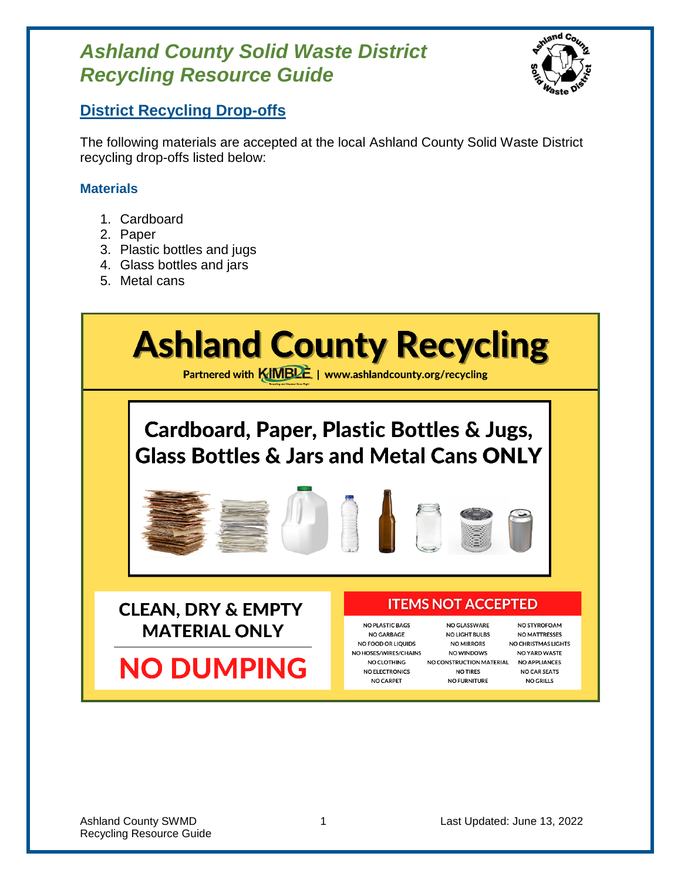

## **District Recycling Drop-offs**

The following materials are accepted at the local Ashland County Solid Waste District recycling drop-offs listed below:

### **Materials**

- 1. Cardboard
- 2. Paper
- 3. Plastic bottles and jugs
- 4. Glass bottles and jars
- 5. Metal cans

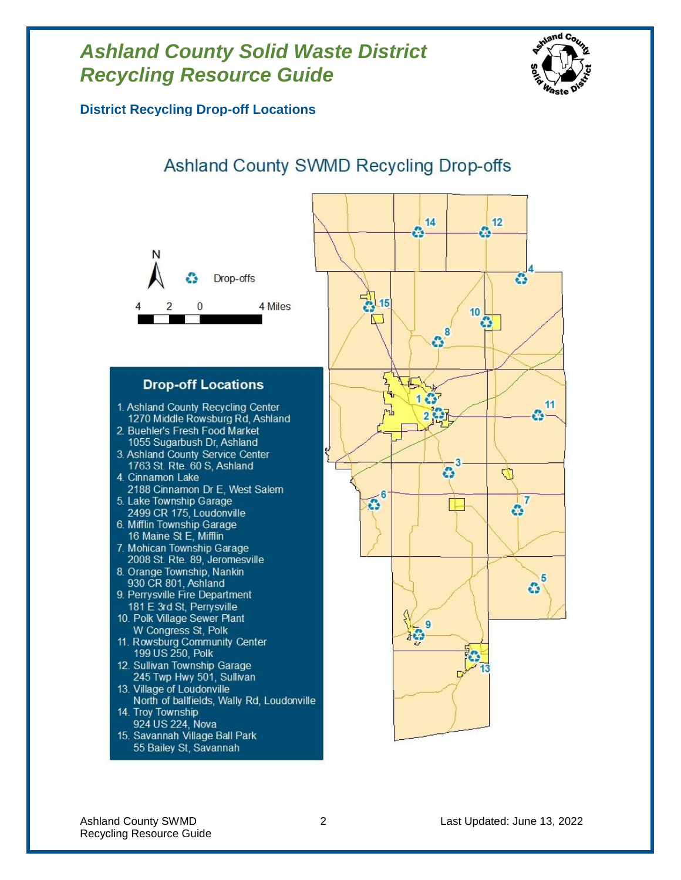

**District Recycling Drop-off Locations**

# Ashland County SWMD Recycling Drop-offs



- 4. Cinnamon Lake 2188 Cinnamon Dr E, West Salem
- 5. Lake Township Garage 2499 CR 175, Loudonville 6. Mifflin Township Garage
- 16 Maine St E, Mifflin
- 7. Mohican Township Garage 2008 St. Rte. 89, Jeromesville
- 8. Orange Township, Nankin 930 CR 801, Ashland
- 9. Perrysville Fire Department 181 E 3rd St, Perrysville
- 10. Polk Village Sewer Plant W Congress St, Polk
- 11. Rowsburg Community Center 199 US 250, Polk
- 12. Sullivan Township Garage 245 Twp Hwy 501, Sullivan
- 13. Village of Loudonville North of ballfields, Wally Rd, Loudonville
- 14. Troy Township 924 US 224, Nova
- 15. Savannah Village Ball Park 55 Bailey St, Savannah

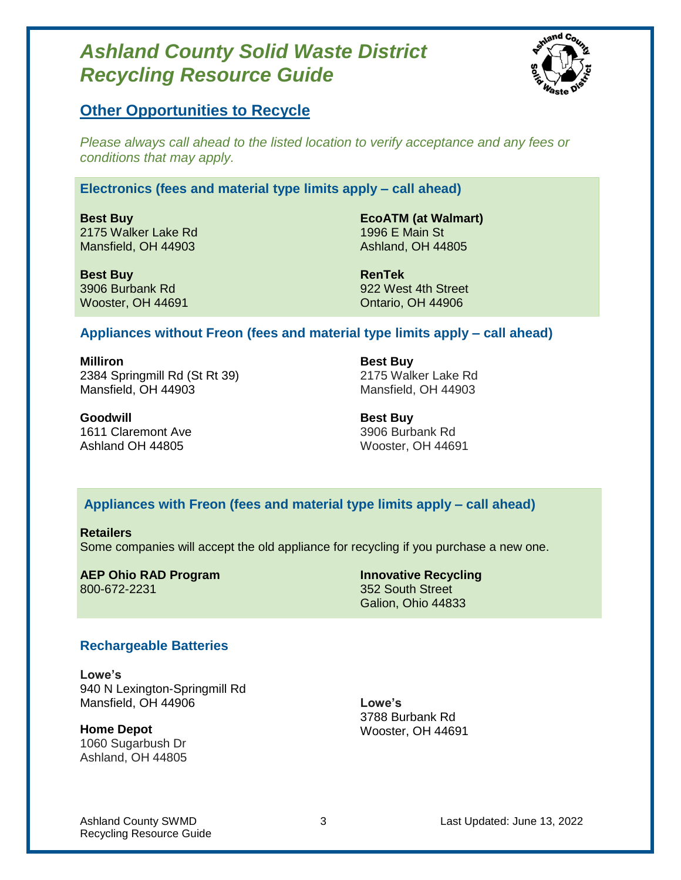

### **Other Opportunities to Recycle**

*Please always call ahead to the listed location to verify acceptance and any fees or conditions that may apply.*

### **Electronics (fees and material type limits apply – call ahead)**

**Best Buy** 2175 Walker Lake Rd Mansfield, OH 44903

**EcoATM (at Walmart)** 1996 E Main St Ashland, OH 44805

**Best Buy** 3906 Burbank Rd Wooster, OH 44691

**RenTek** 922 West 4th Street Ontario, OH 44906

#### **Appliances without Freon (fees and material type limits apply – call ahead)**

**Milliron** 2384 Springmill Rd (St Rt 39) Mansfield, OH 44903

**Best Buy** 2175 Walker Lake Rd Mansfield, OH 44903

**Goodwill** 1611 Claremont Ave Ashland OH 44805

**Best Buy** 3906 Burbank Rd Wooster, OH 44691

### **Appliances with Freon (fees and material type limits apply – call ahead)**

**Retailers** Some companies will accept the old appliance for recycling if you purchase a new one.

**AEP Ohio RAD Program Innovative Recycling** 800-672-2231 352 South Street

Galion, Ohio 44833

#### **Rechargeable Batteries**

**Lowe's** 940 N Lexington-Springmill Rd Mansfield, OH 44906

**Home Depot** 1060 Sugarbush Dr Ashland, OH 44805

**Lowe's** 3788 Burbank Rd Wooster, OH 44691

Recycling Resource Guide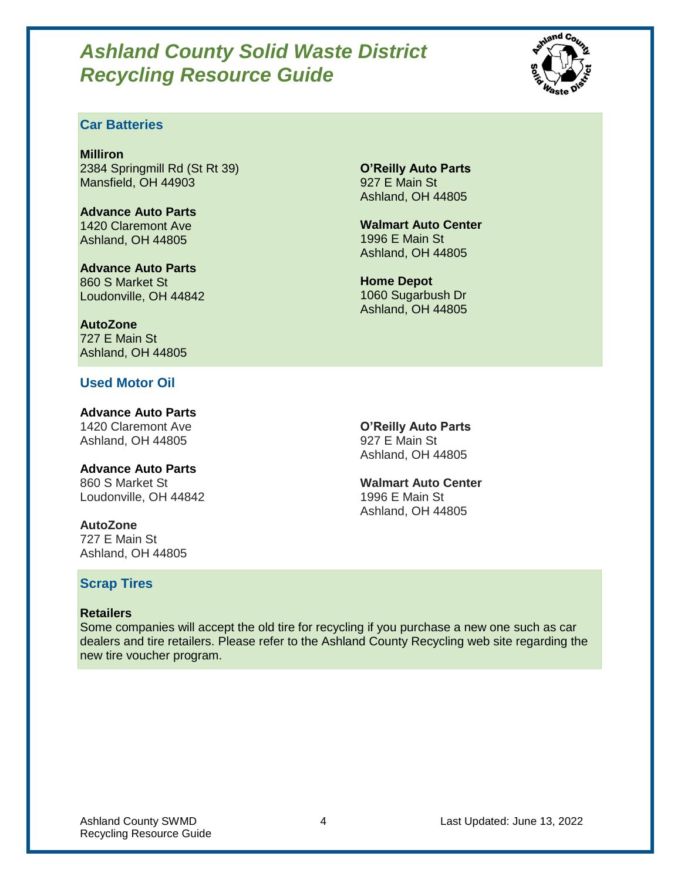

### **Car Batteries**

**Milliron** 2384 Springmill Rd (St Rt 39) Mansfield, OH 44903

**Advance Auto Parts** 1420 Claremont Ave Ashland, OH 44805

**Advance Auto Parts** 860 S Market St Loudonville, OH 44842

**AutoZone** 727 E Main St Ashland, OH 44805

### **Used Motor Oil**

**Advance Auto Parts** 1420 Claremont Ave Ashland, OH 44805

**Advance Auto Parts** 860 S Market St Loudonville, OH 44842

**AutoZone** 727 E Main St Ashland, OH 44805

### **Scrap Tires**

#### **Retailers**

Some companies will accept the old tire for recycling if you purchase a new one such as car dealers and tire retailers. Please refer to the Ashland County Recycling web site regarding the new tire voucher program.

**O'Reilly Auto Parts** 927 E Main St Ashland, OH 44805

**Walmart Auto Center** 1996 E Main St Ashland, OH 44805

**Home Depot** 1060 Sugarbush Dr Ashland, OH 44805

**O'Reilly Auto Parts** 927 E Main St Ashland, OH 44805

**Walmart Auto Center** 1996 E Main St Ashland, OH 44805

Ashland County SWMD **4** 2022 **Last Updated: June 13, 2022**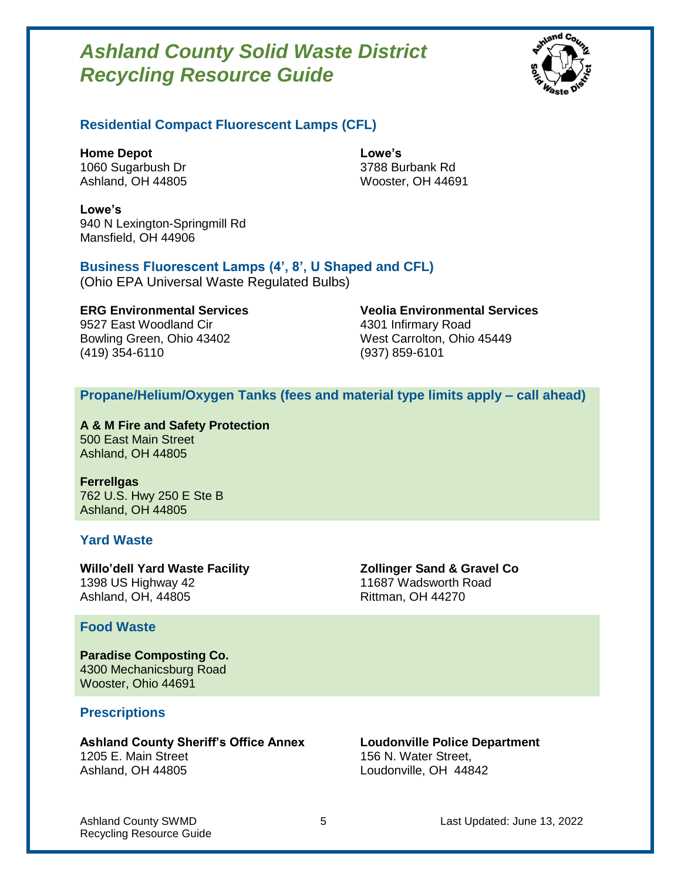

### **Residential Compact Fluorescent Lamps (CFL)**

**Home Depot** 1060 Sugarbush Dr Ashland, OH 44805 **Lowe's** 3788 Burbank Rd Wooster, OH 44691

**Lowe's** 940 N Lexington-Springmill Rd Mansfield, OH 44906

#### **Business Fluorescent Lamps (4', 8', U Shaped and CFL)**

(Ohio EPA Universal Waste Regulated Bulbs)

9527 East Woodland Cir **4301 Infirmary Road** Bowling Green, Ohio 43402 West Carrolton, Ohio 45449 (419) 354-6110 (937) 859-6101

**ERG Environmental Services Veolia Environmental Services**

#### **Propane/Helium/Oxygen Tanks (fees and material type limits apply – call ahead)**

**A & M Fire and Safety Protection** 500 East Main Street Ashland, OH 44805

**Ferrellgas** 762 U.S. Hwy 250 E Ste B Ashland, OH 44805

#### **Yard Waste**

**Willo'dell Yard Waste Facility** 1398 US Highway 42 Ashland, OH, 44805

#### **Food Waste**

**Paradise Composting Co.** 4300 Mechanicsburg Road Wooster, Ohio 44691

#### **Prescriptions**

**Ashland County Sheriff's Office Annex** 1205 E. Main Street Ashland, OH 44805

**Zollinger Sand & Gravel Co** 11687 Wadsworth Road Rittman, OH 44270

**Loudonville Police Department** 156 N. Water Street, Loudonville, OH 44842

Recycling Resource Guide

Ashland County SWMD 6 2022 **5** Last Updated: June 13, 2022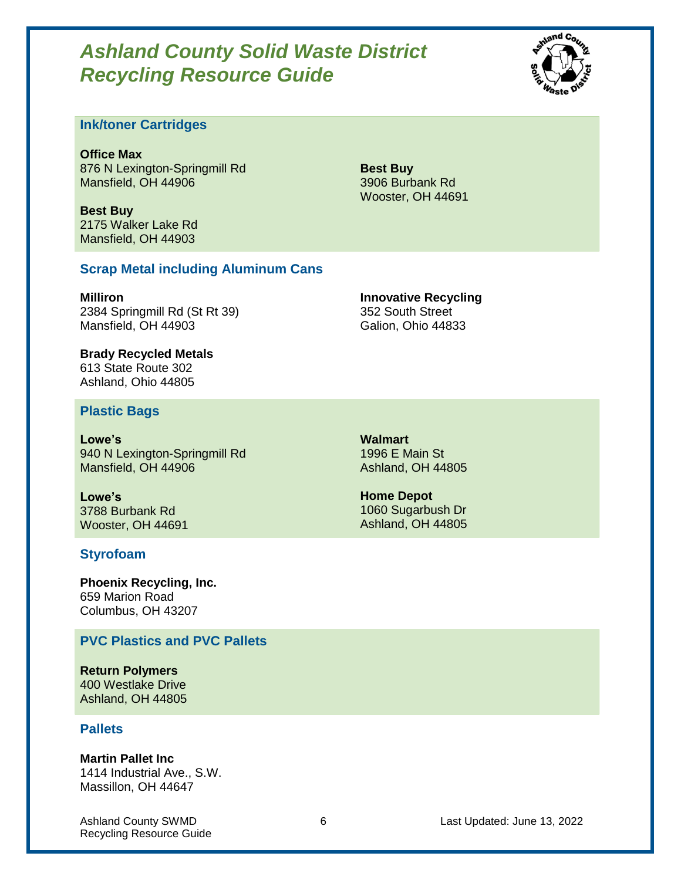

#### **Ink/toner Cartridges**

**Office Max** 876 N Lexington-Springmill Rd Mansfield, OH 44906

**Best Buy** 2175 Walker Lake Rd Mansfield, OH 44903

**Best Buy** 3906 Burbank Rd Wooster, OH 44691

#### **Scrap Metal including Aluminum Cans**

**Milliron** 2384 Springmill Rd (St Rt 39) Mansfield, OH 44903

**Innovative Recycling** 352 South Street Galion, Ohio 44833

**Brady Recycled Metals** 613 State Route 302 Ashland, Ohio 44805

#### **Plastic Bags**

**Lowe's** 940 N Lexington-Springmill Rd Mansfield, OH 44906

**Lowe's** 3788 Burbank Rd Wooster, OH 44691

#### **Styrofoam**

**Phoenix Recycling, Inc.** 659 Marion Road Columbus, OH 43207

#### **PVC Plastics and PVC Pallets**

**Return Polymers** 400 Westlake Drive Ashland, OH 44805

#### **Pallets**

**Martin Pallet Inc**

1414 Industrial Ave., S.W. Massillon, OH 44647

Recycling Resource Guide

**Walmart** 1996 E Main St Ashland, OH 44805

**Home Depot** 1060 Sugarbush Dr Ashland, OH 44805